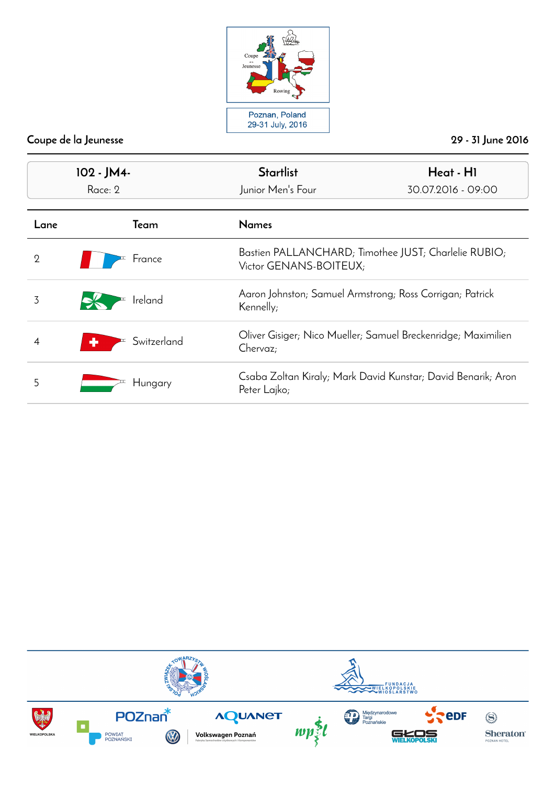

| 102 - JM4-<br>Race: 2 |             | <b>Startlist</b><br>Heat - HI<br>Junior Men's Four<br>30.07.2016 - 09:00       |                                                          |  |
|-----------------------|-------------|--------------------------------------------------------------------------------|----------------------------------------------------------|--|
| Lane                  | Team        | <b>Names</b>                                                                   |                                                          |  |
| $\overline{2}$        | France      | Bastien PALLANCHARD; Timothee JUST; Charlelie RUBIO;<br>Victor GENANS-BOITEUX; |                                                          |  |
| 3                     | Ireland     | Kennelly;                                                                      | Aaron Johnston; Samuel Armstrong; Ross Corrigan; Patrick |  |
| 4                     | Switzerland | Oliver Gisiger; Nico Mueller; Samuel Breckenridge; Maximilien<br>Chervaz;      |                                                          |  |
| 5                     | Hungary     | Csaba Zoltan Kiraly; Mark David Kunstar; David Benarik; Aron<br>Peter Lajko;   |                                                          |  |

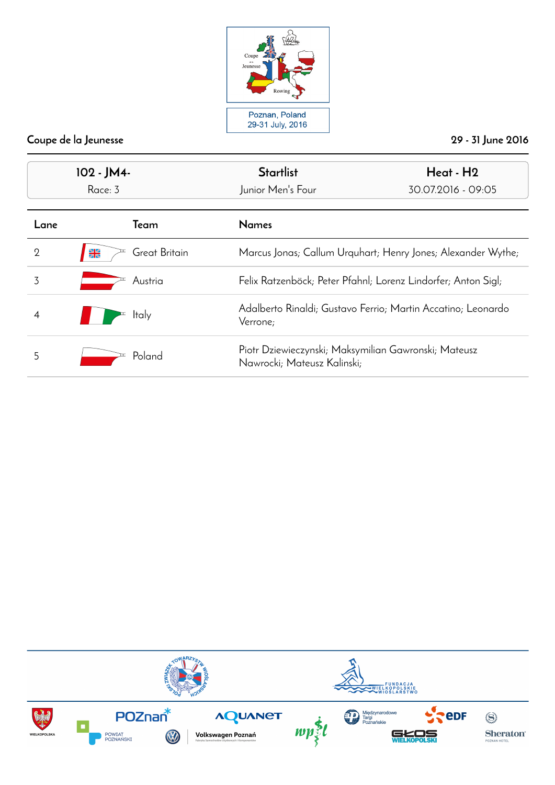

| 102 - JM4-<br>Race: 3 |                                 | <b>Startlist</b><br>Junior Men's Four                                               | Heat - H <sub>2</sub><br>30.07.2016 - 09:05                   |  |
|-----------------------|---------------------------------|-------------------------------------------------------------------------------------|---------------------------------------------------------------|--|
| Lane                  | Team                            | <b>Names</b>                                                                        |                                                               |  |
| 2                     | $\frac{N}{ZN}$<br>Great Britain |                                                                                     | Marcus Jonas; Callum Urquhart; Henry Jones; Alexander Wythe;  |  |
| 3                     | Austria                         |                                                                                     | Felix Ratzenböck; Peter Pfahnl; Lorenz Lindorfer; Anton Sigl; |  |
|                       | ltaly                           | Verrone;                                                                            | Adalberto Rinaldi; Gustavo Ferrio; Martin Accatino; Leonardo  |  |
| 5                     | Poland                          | Piotr Dziewieczynski; Maksymilian Gawronski; Mateusz<br>Nawrocki; Mateusz Kalinski; |                                                               |  |

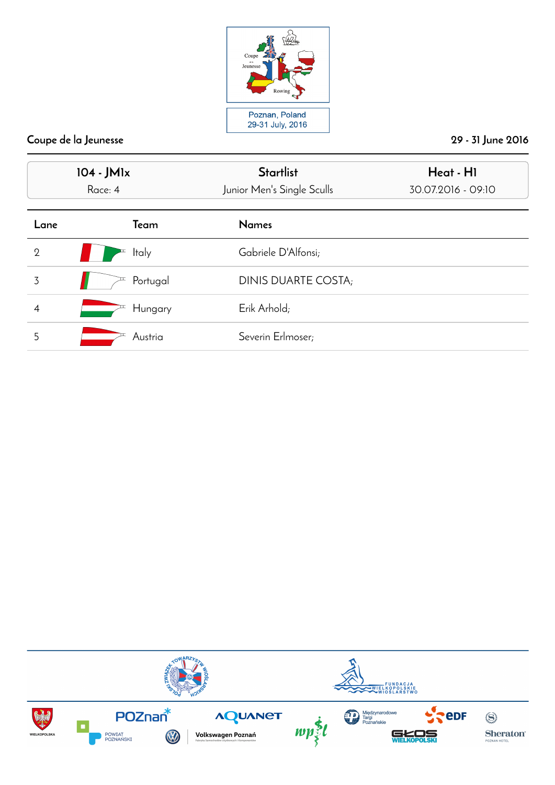

| 104 - JM1x<br>Race: 4 |              | <b>Startlist</b><br>Junior Men's Single Sculls | Heat - HI<br>30.07.2016 - 09:10 |
|-----------------------|--------------|------------------------------------------------|---------------------------------|
| Lane                  | Team         | <b>Names</b>                                   |                                 |
| $\overline{2}$        | <b>Italy</b> | Gabriele D'Alfonsi;                            |                                 |
| 3                     | Portugal     | DINIS DUARTE COSTA;                            |                                 |
| 4                     | Hungary      | Erik Arhold;                                   |                                 |
| 5                     | Austria      | Severin Erlmoser;                              |                                 |

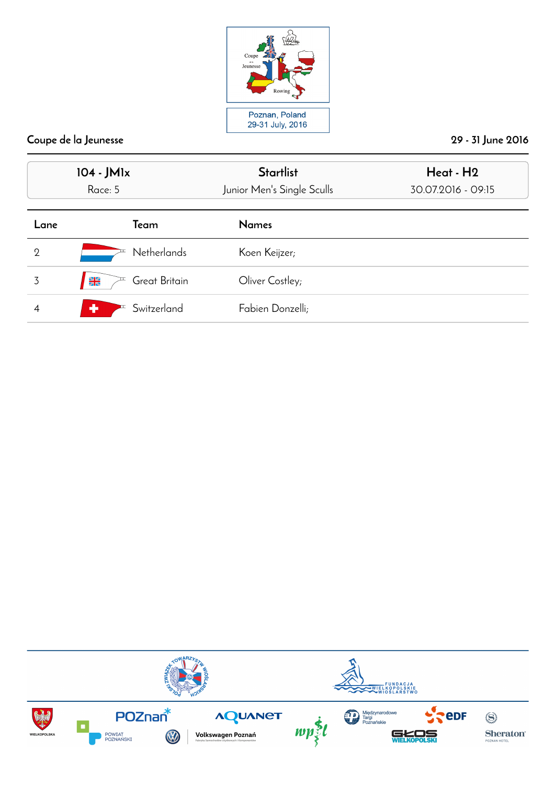

|                | 104 - JM1x<br>Race: 5           | <b>Startlist</b><br>Junior Men's Single Sculls | Heat - H2<br>30.07.2016 - 09:15 |
|----------------|---------------------------------|------------------------------------------------|---------------------------------|
| Lane           | Team                            | <b>Names</b>                                   |                                 |
| $\overline{2}$ | <b>Netherlands</b>              | Koen Keijzer;                                  |                                 |
| 3              | $\frac{N}{ZN}$<br>Great Britain | Oliver Costley;                                |                                 |
| 4              | Switzerland<br>Æ.               | Fabien Donzelli;                               |                                 |

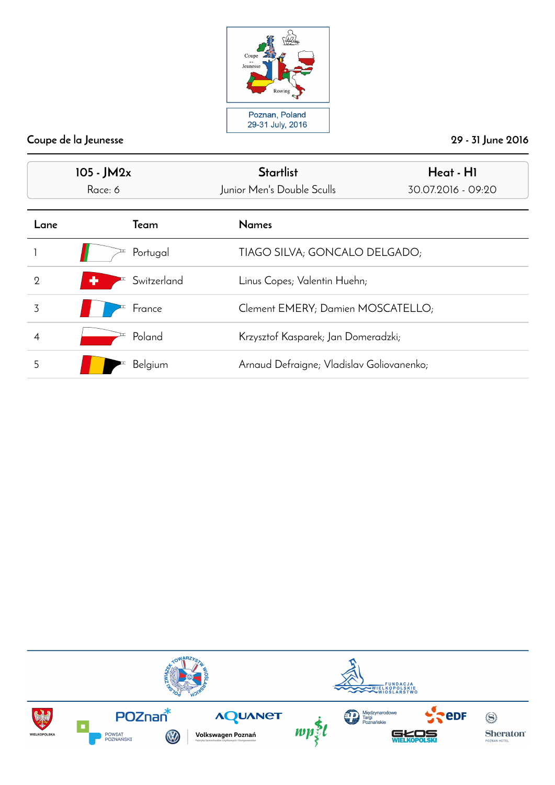

| $105 - JM2x$<br>Race: 6 |                  | <b>Startlist</b><br>Junior Men's Double Sculls | Heat - HI<br>30.07.2016 - 09:20 |
|-------------------------|------------------|------------------------------------------------|---------------------------------|
| Lane                    | Team             | <b>Names</b>                                   |                                 |
|                         | Portugal         | TIAGO SILVA; GONCALO DELGADO;                  |                                 |
| $\overline{2}$          | Switzerland<br>÷ | Linus Copes; Valentin Huehn;                   |                                 |
| 3                       | France           | Clement EMERY; Damien MOSCATELLO;              |                                 |
|                         | Poland           | Krzysztof Kasparek; Jan Domeradzki;            |                                 |
| 5                       | Belgium          | Arnaud Defraigne; Vladislav Goliovanenko;      |                                 |

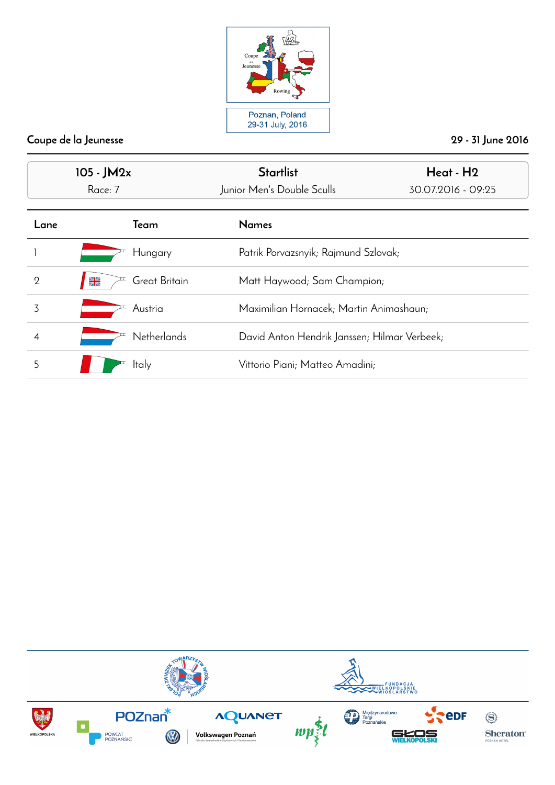

| $105 - JM2x$<br>Race: 7 |                                | <b>Startlist</b><br>Junior Men's Double Sculls | Heat - H <sub>2</sub><br>30.07.2016 - 09:25 |
|-------------------------|--------------------------------|------------------------------------------------|---------------------------------------------|
| Lane                    | Team                           | <b>Names</b>                                   |                                             |
|                         | Hungary                        | Patrik Porvazsnyik; Rajmund Szlovak;           |                                             |
| $\overline{2}$          | Great Britain<br>$\frac{N}{Z}$ | Matt Haywood; Sam Champion;                    |                                             |
| 3                       | Austria                        | Maximilian Hornacek; Martin Animashaun;        |                                             |
|                         | <b>Netherlands</b>             | David Anton Hendrik Janssen; Hilmar Verbeek;   |                                             |
| 5                       | <b>Italy</b>                   | Vittorio Piani; Matteo Amadini;                |                                             |

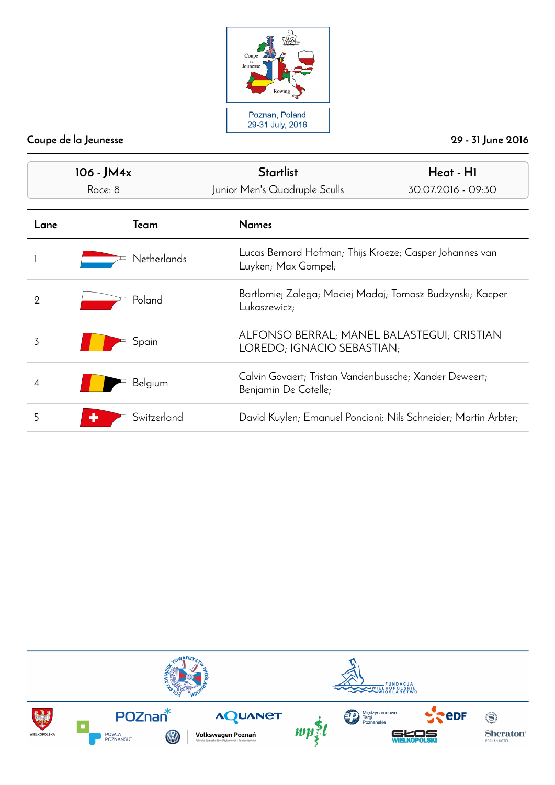

| 106 - JM4x<br>Race: 8 |                    | <b>Startlist</b><br>Junior Men's Quadruple Sculls                              | Heat - H1<br>30.07.2016 - 09:30                                          |  |
|-----------------------|--------------------|--------------------------------------------------------------------------------|--------------------------------------------------------------------------|--|
| Lane                  | Team               | <b>Names</b>                                                                   |                                                                          |  |
|                       | <b>Netherlands</b> | Lucas Bernard Hofman; Thijs Kroeze; Casper Johannes van<br>Luyken; Max Gompel; |                                                                          |  |
| $\overline{2}$        | Poland             | Lukaszewicz;                                                                   | Bartlomiej Zalega; Maciej Madaj; Tomasz Budzynski; Kacper                |  |
| 3                     | Spain              |                                                                                | ALFONSO BERRAL; MANEL BALASTEGUI; CRISTIAN<br>LOREDO; IGNACIO SEBASTIAN; |  |
|                       | Belgium            | Benjamin De Catelle;                                                           | Calvin Govaert; Tristan Vandenbussche; Xander Deweert;                   |  |
| 5                     | Switzerland        |                                                                                | David Kuylen; Emanuel Poncioni; Nils Schneider; Martin Arbter;           |  |

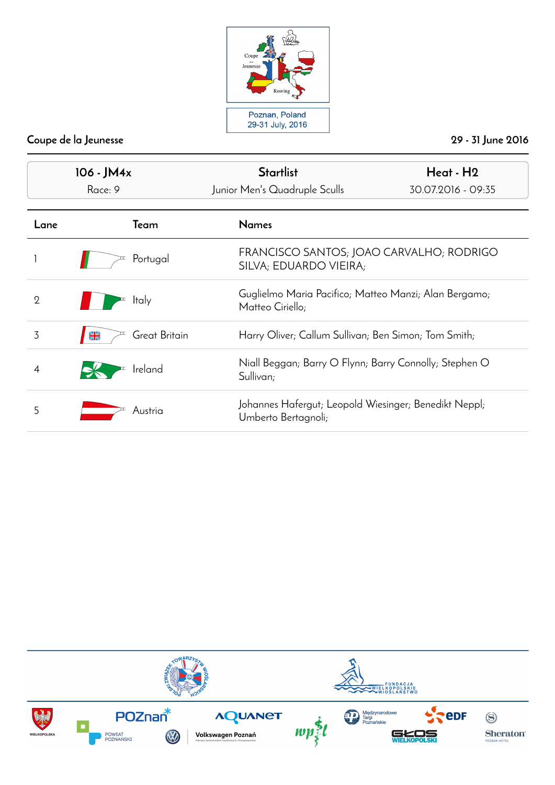

| 106 - JM4x<br>Race: 9 |                                | <b>Startlist</b><br>Junior Men's Quadruple Sculls                            | Heat - H2<br>30.07.2016 - 09:35                        |  |
|-----------------------|--------------------------------|------------------------------------------------------------------------------|--------------------------------------------------------|--|
|                       |                                |                                                                              |                                                        |  |
| Lane                  | Team                           | <b>Names</b>                                                                 |                                                        |  |
|                       | Portugal                       | FRANCISCO SANTOS; JOAO CARVALHO; RODRIGO<br>SILVA; EDUARDO VIEIRA;           |                                                        |  |
| $\Omega$              | <b>Italy</b>                   | Matteo Ciriello;                                                             | Guglielmo Maria Pacifico; Matteo Manzi; Alan Bergamo;  |  |
| 3                     | Great Britain<br>$\frac{N}{2}$ | Harry Oliver; Callum Sullivan; Ben Simon; Tom Smith;                         |                                                        |  |
|                       | Ireland                        | Sullivan;                                                                    | Niall Beggan; Barry O Flynn; Barry Connolly; Stephen O |  |
| 5                     | Austria                        | Johannes Hafergut; Leopold Wiesinger; Benedikt Neppl;<br>Umberto Bertagnoli; |                                                        |  |

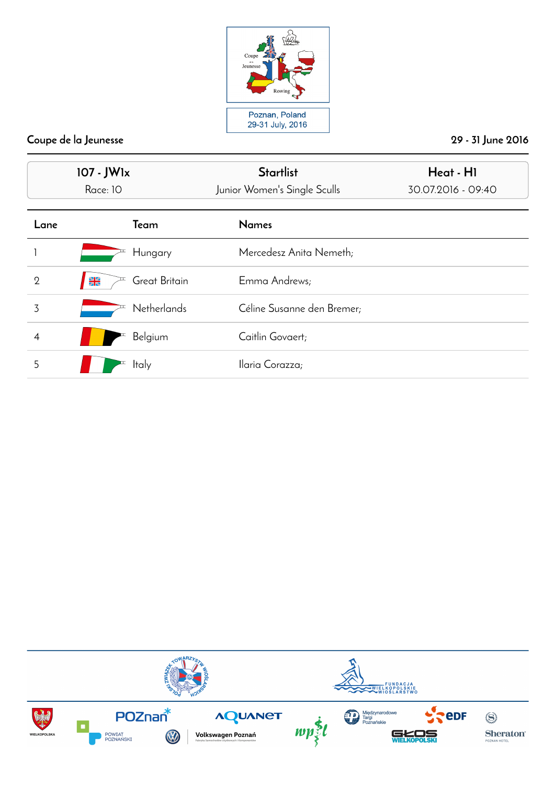

|                | 107 - JW1x<br>Race: 10          | <b>Startlist</b><br>Junior Women's Single Sculls | Heat - HI<br>30.07.2016 - 09:40 |
|----------------|---------------------------------|--------------------------------------------------|---------------------------------|
| Lane           | Team                            | <b>Names</b>                                     |                                 |
|                | Hungary                         | Mercedesz Anita Nemeth;                          |                                 |
| $\overline{2}$ | Great Britain<br>$\frac{N}{ZN}$ | Emma Andrews;                                    |                                 |
| 3              | <b>Netherlands</b>              | Céline Susanne den Bremer;                       |                                 |
| $\overline{4}$ | Belgium                         | Caitlin Govaert;                                 |                                 |
| 5              | <b>Italy</b>                    | Ilaria Corazza;                                  |                                 |

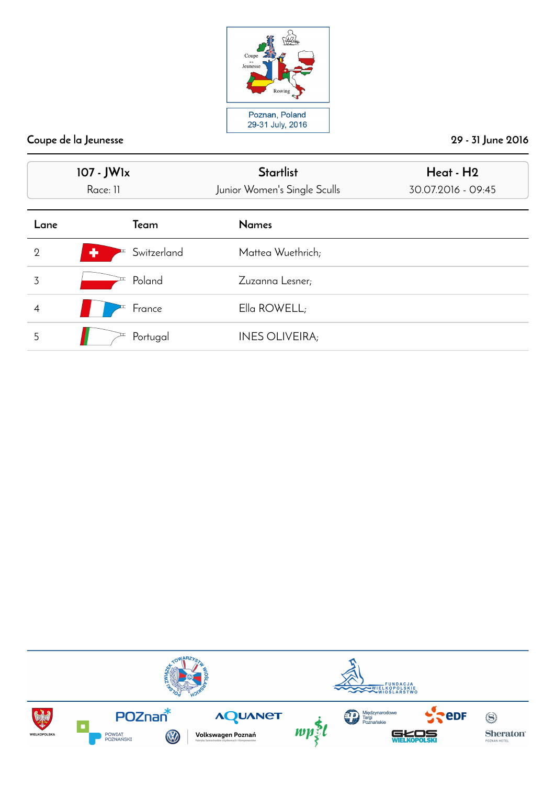

|                | 107 - JW1x<br>Race: 11 | <b>Startlist</b><br>Junior Women's Single Sculls | Heat - H2<br>30.07.2016 - 09:45 |
|----------------|------------------------|--------------------------------------------------|---------------------------------|
| Lane           | Team                   | <b>Names</b>                                     |                                 |
| $\overline{2}$ | ٠<br>Switzerland       | Mattea Wuethrich;                                |                                 |
| 3              | Poland                 | Zuzanna Lesner;                                  |                                 |
| 4              | France                 | Ella ROWELL;                                     |                                 |
| 5              | Portugal               | <b>INES OLIVEIRA;</b>                            |                                 |

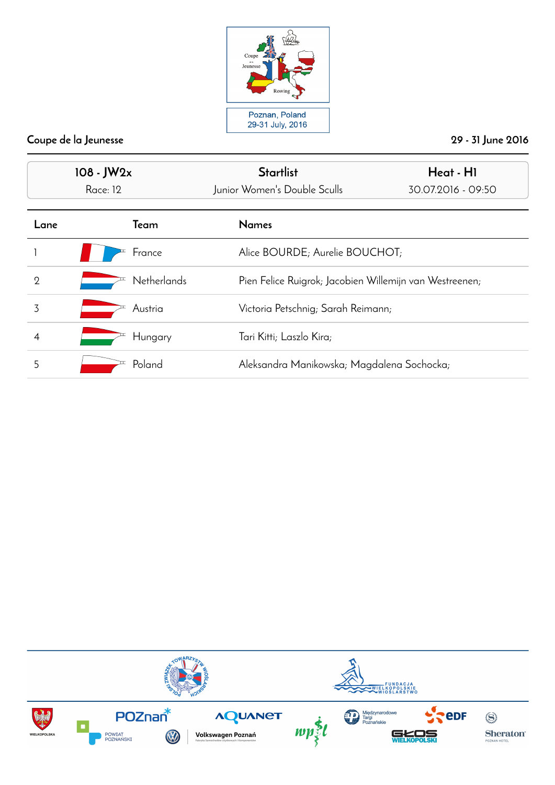

| $108 - JW2x$<br>Race: 12 |                    | <b>Startlist</b><br>Junior Women's Double Sculls        | Heat - H1<br>30.07.2016 - 09:50 |  |
|--------------------------|--------------------|---------------------------------------------------------|---------------------------------|--|
| Lane                     | Team               | <b>Names</b>                                            |                                 |  |
|                          | France             | Alice BOURDE; Aurelie BOUCHOT;                          |                                 |  |
| $\overline{2}$           | <b>Netherlands</b> | Pien Felice Ruigrok; Jacobien Willemijn van Westreenen; |                                 |  |
| 3                        | Austria            | Victoria Petschnig; Sarah Reimann;                      |                                 |  |
|                          | Hungary            | Tari Kitti; Laszlo Kira;                                |                                 |  |
| 5                        | Poland             | Aleksandra Manikowska; Magdalena Sochocka;              |                                 |  |

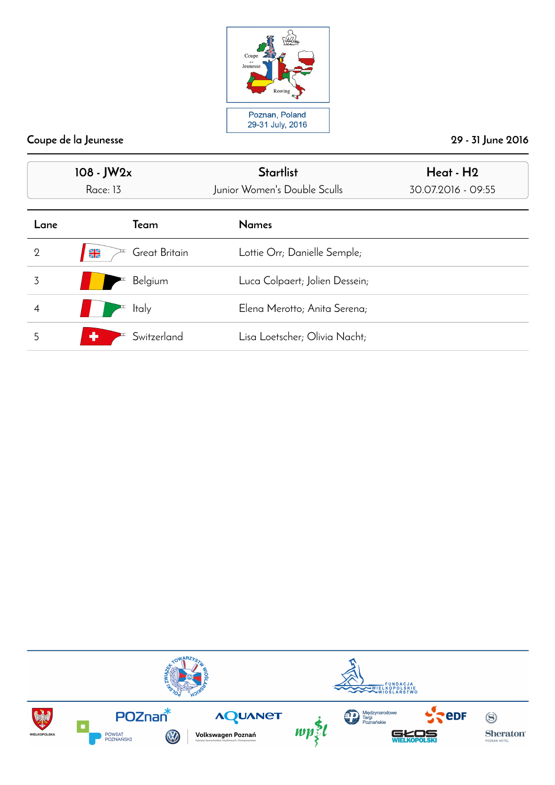

|                | $108 - JW2x$<br>Race: 13       | <b>Startlist</b><br>Junior Women's Double Sculls | Heat - H2<br>30.07.2016 - 09:55 |
|----------------|--------------------------------|--------------------------------------------------|---------------------------------|
| Lane           | Team                           | <b>Names</b>                                     |                                 |
| $\overline{2}$ | Great Britain<br>$\frac{N}{N}$ | Lottie Orr; Danielle Semple;                     |                                 |
| 3              | Belgium                        | Luca Colpaert; Jolien Dessein;                   |                                 |
| $\overline{4}$ | <b>Italy</b>                   | Elena Merotto; Anita Serena;                     |                                 |
| 5              | ۰<br>Switzerland               | Lisa Loetscher; Olivia Nacht;                    |                                 |

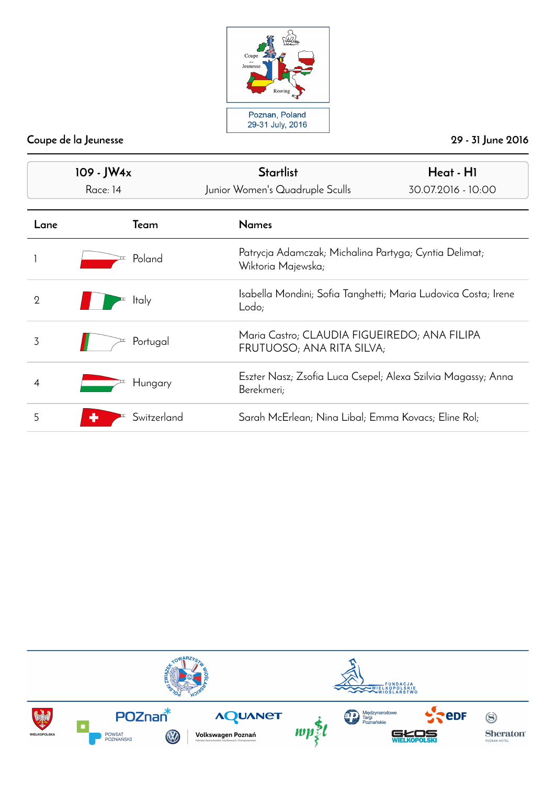

| $109 - JW4x$   |              | <b>Startlist</b>                                                            | Heat - HI                                                                 |  |
|----------------|--------------|-----------------------------------------------------------------------------|---------------------------------------------------------------------------|--|
|                | Race: 14     | Junior Women's Quadruple Sculls                                             | 30.07.2016 - 10:00                                                        |  |
| Lane           | Team         | <b>Names</b>                                                                |                                                                           |  |
|                | Poland       | Patrycja Adamczak; Michalina Partyga; Cyntia Delimat;<br>Wiktoria Majewska; |                                                                           |  |
| $\overline{2}$ | <b>Italy</b> | Isabella Mondini; Sofia Tanghetti; Maria Ludovica Costa; Irene<br>Lodo;     |                                                                           |  |
| 3              | Portugal     |                                                                             | Maria Castro; CLAUDIA FIGUEIREDO; ANA FILIPA<br>FRUTUOSO; ANA RITA SILVA; |  |
| 4              | Hungary      | Berekmeri;                                                                  | Eszter Nasz; Zsofia Luca Csepel; Alexa Szilvia Magassy; Anna              |  |
| 5              | Switzerland  | Sarah McErlean; Nina Libal; Emma Kovacs; Eline Rol;                         |                                                                           |  |

![](_page_12_Picture_4.jpeg)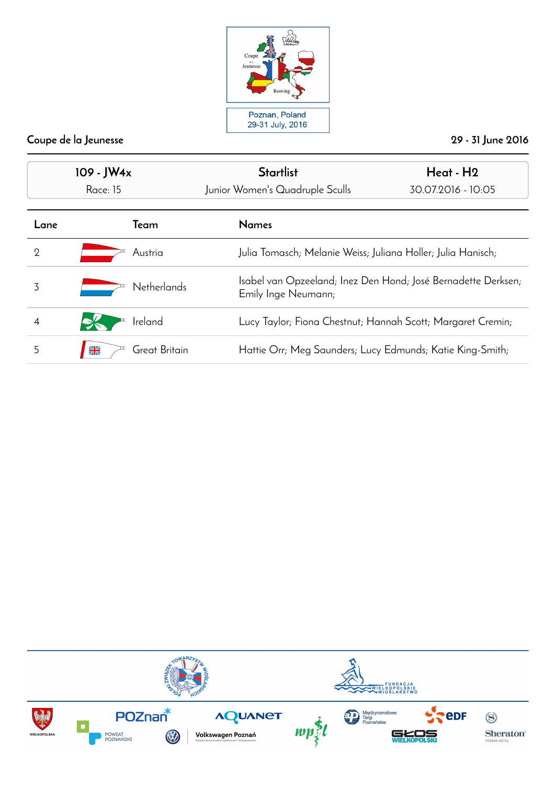![](_page_13_Picture_0.jpeg)

| $109 - JW4x$ |                                 | <b>Startlist</b>                                             | Heat - H <sub>2</sub>                                         |  |
|--------------|---------------------------------|--------------------------------------------------------------|---------------------------------------------------------------|--|
|              | Race: 15                        | Junior Women's Quadruple Sculls                              | 30.07.2016 - 10:05                                            |  |
| Lane         | Team                            | <b>Names</b>                                                 |                                                               |  |
| 2            | Austria                         | Julia Tomasch; Melanie Weiss; Juliana Holler; Julia Hanisch; |                                                               |  |
| 3            | <b>Netherlands</b>              | Emily Inge Neumann;                                          | Isabel van Opzeeland; Inez Den Hond; José Bernadette Derksen; |  |
|              | Ireland                         |                                                              | Lucy Taylor; Fiona Chestnut; Hannah Scott; Margaret Cremin;   |  |
| 5            | $\frac{N}{2N}$<br>Great Britain | Hattie Orr; Meg Saunders; Lucy Edmunds; Katie King-Smith;    |                                                               |  |

![](_page_13_Picture_4.jpeg)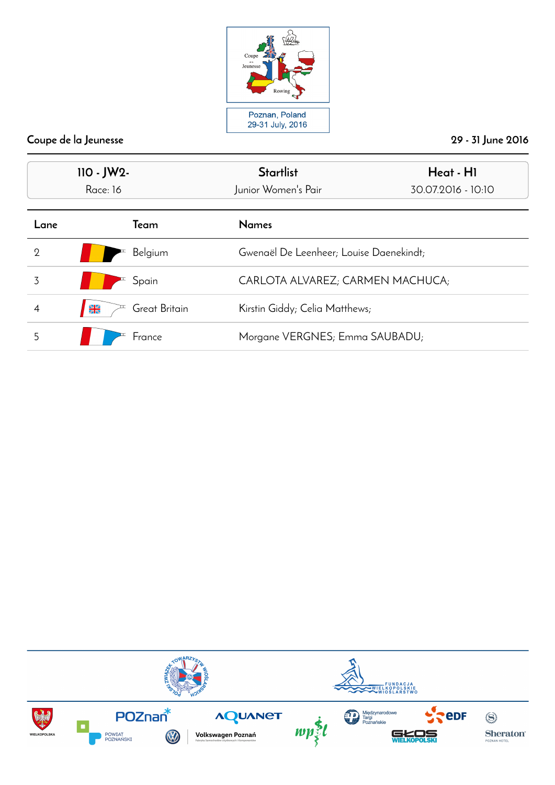![](_page_14_Picture_0.jpeg)

| $110 - JW2 -$  |                                | <b>Startlist</b>                          | Heat - H1                      |  |
|----------------|--------------------------------|-------------------------------------------|--------------------------------|--|
| Race: 16       |                                | Junior Women's Pair<br>30.07.2016 - 10:10 |                                |  |
| Lane           | Team                           | <b>Names</b>                              |                                |  |
| $\overline{2}$ | Belgium                        | Gwenaël De Leenheer; Louise Daenekindt;   |                                |  |
| 3              | Spain                          | CARLOTA ALVAREZ; CARMEN MACHUCA;          |                                |  |
| 4              | Great Britain<br>$\frac{N}{2}$ |                                           | Kirstin Giddy; Celia Matthews; |  |
| 5              | France                         | Morgane VERGNES; Emma SAUBADU;            |                                |  |

![](_page_14_Picture_4.jpeg)